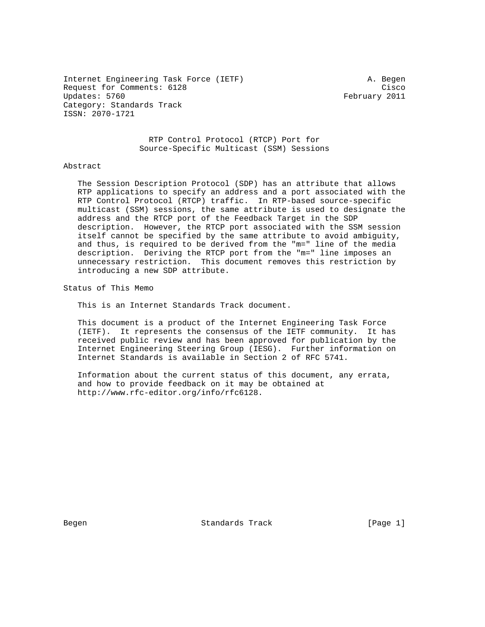Internet Engineering Task Force (IETF) A. Begen Request for Comments: 6128 Cisco Updates: 5760 February 2011 Category: Standards Track ISSN: 2070-1721

 RTP Control Protocol (RTCP) Port for Source-Specific Multicast (SSM) Sessions

## Abstract

 The Session Description Protocol (SDP) has an attribute that allows RTP applications to specify an address and a port associated with the RTP Control Protocol (RTCP) traffic. In RTP-based source-specific multicast (SSM) sessions, the same attribute is used to designate the address and the RTCP port of the Feedback Target in the SDP description. However, the RTCP port associated with the SSM session itself cannot be specified by the same attribute to avoid ambiguity, and thus, is required to be derived from the "m=" line of the media description. Deriving the RTCP port from the "m=" line imposes an unnecessary restriction. This document removes this restriction by introducing a new SDP attribute.

Status of This Memo

This is an Internet Standards Track document.

 This document is a product of the Internet Engineering Task Force (IETF). It represents the consensus of the IETF community. It has received public review and has been approved for publication by the Internet Engineering Steering Group (IESG). Further information on Internet Standards is available in Section 2 of RFC 5741.

 Information about the current status of this document, any errata, and how to provide feedback on it may be obtained at http://www.rfc-editor.org/info/rfc6128.

Begen Standards Track [Page 1]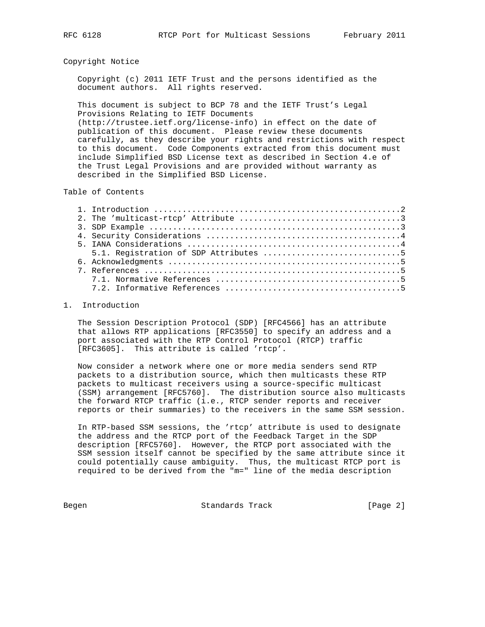## Copyright Notice

 Copyright (c) 2011 IETF Trust and the persons identified as the document authors. All rights reserved.

 This document is subject to BCP 78 and the IETF Trust's Legal Provisions Relating to IETF Documents (http://trustee.ietf.org/license-info) in effect on the date of publication of this document. Please review these documents carefully, as they describe your rights and restrictions with respect to this document. Code Components extracted from this document must include Simplified BSD License text as described in Section 4.e of the Trust Legal Provisions and are provided without warranty as

Table of Contents

described in the Simplified BSD License.

## 1. Introduction

 The Session Description Protocol (SDP) [RFC4566] has an attribute that allows RTP applications [RFC3550] to specify an address and a port associated with the RTP Control Protocol (RTCP) traffic [RFC3605]. This attribute is called 'rtcp'.

 Now consider a network where one or more media senders send RTP packets to a distribution source, which then multicasts these RTP packets to multicast receivers using a source-specific multicast (SSM) arrangement [RFC5760]. The distribution source also multicasts the forward RTCP traffic (i.e., RTCP sender reports and receiver reports or their summaries) to the receivers in the same SSM session.

 In RTP-based SSM sessions, the 'rtcp' attribute is used to designate the address and the RTCP port of the Feedback Target in the SDP description [RFC5760]. However, the RTCP port associated with the SSM session itself cannot be specified by the same attribute since it could potentially cause ambiguity. Thus, the multicast RTCP port is required to be derived from the "m=" line of the media description

Begen Standards Track [Page 2]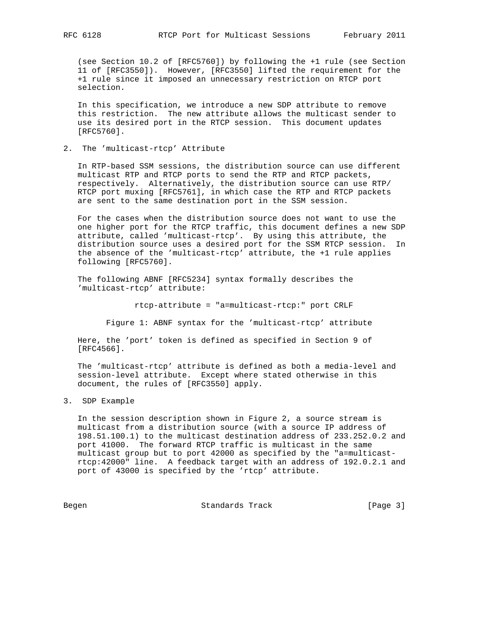(see Section 10.2 of [RFC5760]) by following the +1 rule (see Section 11 of [RFC3550]). However, [RFC3550] lifted the requirement for the +1 rule since it imposed an unnecessary restriction on RTCP port selection.

 In this specification, we introduce a new SDP attribute to remove this restriction. The new attribute allows the multicast sender to use its desired port in the RTCP session. This document updates [RFC5760].

2. The 'multicast-rtcp' Attribute

 In RTP-based SSM sessions, the distribution source can use different multicast RTP and RTCP ports to send the RTP and RTCP packets, respectively. Alternatively, the distribution source can use RTP/ RTCP port muxing [RFC5761], in which case the RTP and RTCP packets are sent to the same destination port in the SSM session.

 For the cases when the distribution source does not want to use the one higher port for the RTCP traffic, this document defines a new SDP attribute, called 'multicast-rtcp'. By using this attribute, the distribution source uses a desired port for the SSM RTCP session. In the absence of the 'multicast-rtcp' attribute, the +1 rule applies following [RFC5760].

 The following ABNF [RFC5234] syntax formally describes the 'multicast-rtcp' attribute:

rtcp-attribute = "a=multicast-rtcp:" port CRLF

Figure 1: ABNF syntax for the 'multicast-rtcp' attribute

 Here, the 'port' token is defined as specified in Section 9 of [RFC4566].

 The 'multicast-rtcp' attribute is defined as both a media-level and session-level attribute. Except where stated otherwise in this document, the rules of [RFC3550] apply.

3. SDP Example

 In the session description shown in Figure 2, a source stream is multicast from a distribution source (with a source IP address of 198.51.100.1) to the multicast destination address of 233.252.0.2 and port 41000. The forward RTCP traffic is multicast in the same multicast group but to port 42000 as specified by the "a=multicast rtcp:42000" line. A feedback target with an address of 192.0.2.1 and port of 43000 is specified by the 'rtcp' attribute.

Begen Standards Track [Page 3]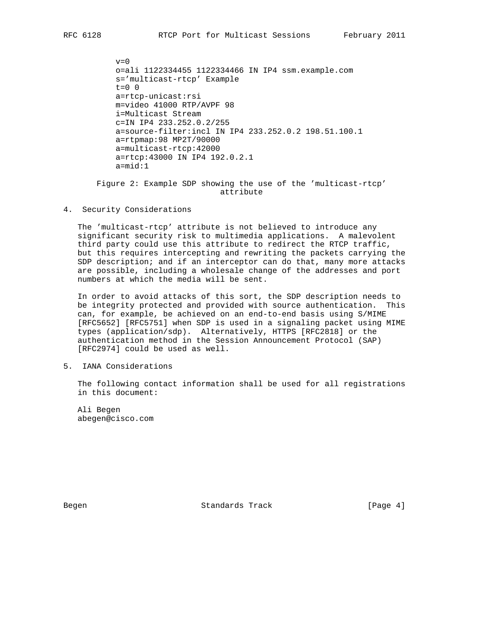$v=0$  o=ali 1122334455 1122334466 IN IP4 ssm.example.com s='multicast-rtcp' Example  $t=0$  0 a=rtcp-unicast:rsi m=video 41000 RTP/AVPF 98 i=Multicast Stream c=IN IP4 233.252.0.2/255 a=source-filter:incl IN IP4 233.252.0.2 198.51.100.1 a=rtpmap:98 MP2T/90000 a=multicast-rtcp:42000 a=rtcp:43000 IN IP4 192.0.2.1 a=mid:1

 Figure 2: Example SDP showing the use of the 'multicast-rtcp' attribute

4. Security Considerations

 The 'multicast-rtcp' attribute is not believed to introduce any significant security risk to multimedia applications. A malevolent third party could use this attribute to redirect the RTCP traffic, but this requires intercepting and rewriting the packets carrying the SDP description; and if an interceptor can do that, many more attacks are possible, including a wholesale change of the addresses and port numbers at which the media will be sent.

 In order to avoid attacks of this sort, the SDP description needs to be integrity protected and provided with source authentication. This can, for example, be achieved on an end-to-end basis using S/MIME [RFC5652] [RFC5751] when SDP is used in a signaling packet using MIME types (application/sdp). Alternatively, HTTPS [RFC2818] or the authentication method in the Session Announcement Protocol (SAP) [RFC2974] could be used as well.

5. IANA Considerations

 The following contact information shall be used for all registrations in this document:

 Ali Begen abegen@cisco.com

Begen Standards Track [Page 4]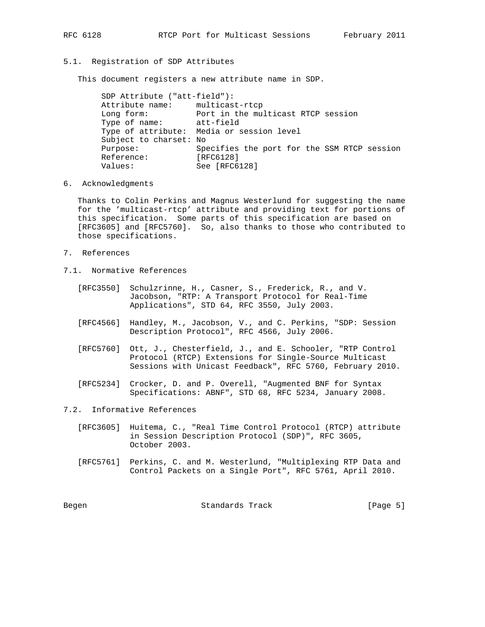## 5.1. Registration of SDP Attributes

This document registers a new attribute name in SDP.

 SDP Attribute ("att-field"): Attribute name: multicast-rtcp Long form: Port in the multicast RTCP session Type of name: att-field Type of attribute: Media or session level Subject to charset: No Purpose: Specifies the port for the SSM RTCP session Reference: [RFC6128] Values: See [RFC6128]

6. Acknowledgments

 Thanks to Colin Perkins and Magnus Westerlund for suggesting the name for the 'multicast-rtcp' attribute and providing text for portions of this specification. Some parts of this specification are based on [RFC3605] and [RFC5760]. So, also thanks to those who contributed to those specifications.

- 7. References
- 7.1. Normative References
	- [RFC3550] Schulzrinne, H., Casner, S., Frederick, R., and V. Jacobson, "RTP: A Transport Protocol for Real-Time Applications", STD 64, RFC 3550, July 2003.
	- [RFC4566] Handley, M., Jacobson, V., and C. Perkins, "SDP: Session Description Protocol", RFC 4566, July 2006.
	- [RFC5760] Ott, J., Chesterfield, J., and E. Schooler, "RTP Control Protocol (RTCP) Extensions for Single-Source Multicast Sessions with Unicast Feedback", RFC 5760, February 2010.
	- [RFC5234] Crocker, D. and P. Overell, "Augmented BNF for Syntax Specifications: ABNF", STD 68, RFC 5234, January 2008.
- 7.2. Informative References
	- [RFC3605] Huitema, C., "Real Time Control Protocol (RTCP) attribute in Session Description Protocol (SDP)", RFC 3605, October 2003.
	- [RFC5761] Perkins, C. and M. Westerlund, "Multiplexing RTP Data and Control Packets on a Single Port", RFC 5761, April 2010.

Begen Standards Track [Page 5]